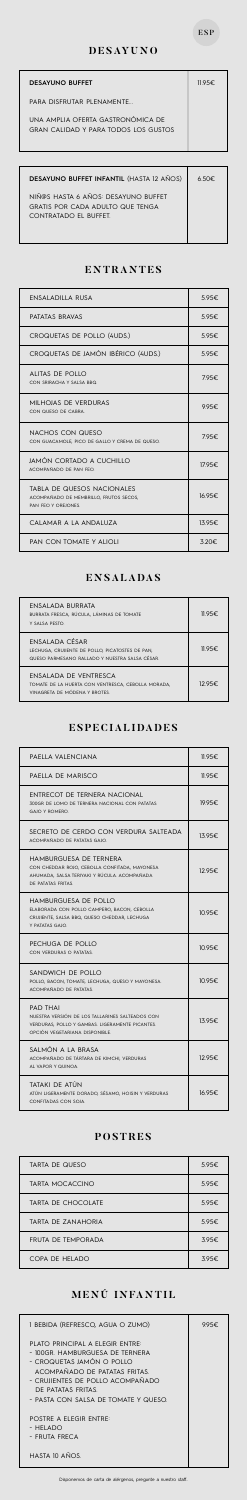#### ESP

#### **DESAYUNO**

| <b>DESAYUNO BUFFET</b>                                                    | $11.95 \epsilon$ |
|---------------------------------------------------------------------------|------------------|
| PARA DISFRUTAR PI FNAMENTE                                                |                  |
| UNA AMPLIA OFERTA GASTRONÓMICA DE<br>GRAN CALIDAD Y PARA TODOS LOS GUSTOS |                  |

### **ENTRANTES**

### **ENSALADAS**

 $\overline{\phantom{a}}$ 

| ENSALADILLA RUSA                                                                                   | 5.95€           |
|----------------------------------------------------------------------------------------------------|-----------------|
| PATATAS BRAVAS                                                                                     | 5.95€.          |
| CROQUETAS DE POLLO (4UDS.)                                                                         | 5.95€.          |
| CROQUETAS DE JAMÓN IBÉRICO (4UDS.)                                                                 | $5.95 \epsilon$ |
| ALITAS DE POLLO<br>CON SRIRACHA Y SALSA BBQ.                                                       | 795€.           |
| MILHOJAS DE VERDURAS<br>CON QUESO DE CABRA.                                                        | 9.95€           |
| NACHOS CON QUESO<br>CON GUACAMOLE, PICO DE GALLO Y CREMA DE QUESO.                                 | 795€.           |
| JAMÓN CORTADO A CUCHILLO<br>ACOMPAÑADO DE PAN FEO.                                                 | 17.95€          |
| <b>TABLA DE QUESOS NACIONALES</b><br>ACOMPAÑADO DE MEMBRILLO, FRUTOS SECOS,<br>PAN FEO Y OREIONES. | 16.95€          |
| CALAMAR A LA ANDALUZA                                                                              | 13.95€          |
| PAN CON TOMATE Y ALIOLI                                                                            | $3.20 \epsilon$ |

| <b>DESAYUNO BUFFET INFANTIL</b> (HASTA 12 AÑOS)                                                  | $6.50 \epsilon$ |
|--------------------------------------------------------------------------------------------------|-----------------|
| NIÑ@S HASTA 6 AÑOS: DESAYUNO BUFFET<br>GRATIS POR CADA ADULTO QUE TENGA<br>CONTRATADO FI BUFFFT. |                 |

| FNSAI ADA BURRATA<br>BURRATA FRESCA, RÚCULA, LÁMINAS DE TOMATE<br>Y SALSA PESTO.                                    | 11.95€. |
|---------------------------------------------------------------------------------------------------------------------|---------|
| ENSALADA CÉSAR<br>LECHUGA, CRUJIENTE DE POLLO, PICATOSTES DE PAN,<br>QUESO PARMESANO RALLADO Y NUESTRA SALSA CÉSAR. | 11.95€. |
| FNSAI ADA DE VENTRESCA<br>TOMATE DE LA HUERTA CON VENTRESCA, CEBOLLA MORADA,<br>VINAGRETA DE MÓDENA Y BROTES        | 12.95€  |

| PAELLA VALENCIANA                                                                                                                                       | 11.95€ |
|---------------------------------------------------------------------------------------------------------------------------------------------------------|--------|
| PAELLA DE MARISCO                                                                                                                                       | 11.95€ |
| ENTRECOT DE TERNERA NACIONAL<br>300GR DE LOMO DE TERNERA NACIONAL CON PATATAS<br><b>GAJO Y ROMERO.</b>                                                  | 19.95€ |
| SECRETO DE CERDO CON VERDURA SALTEADA<br>ACOMPAÑADO DE PATATAS GAJO.                                                                                    | 13.95€ |
| HAMBURGUESA DE TERNERA<br>CON CHEDDAR ROJO, CEBOLLA CONFITADA, MAYONESA<br>AHUMADA, SALSA TERIYAKI Y RÚCULA. ACOMPAÑADA<br>DE PATATAS FRITAS.           | 12.95€ |
| HAMBURGUESA DE POLLO<br>ELABORADA CON POLLO CAMPERO, BACON, CEBOLLA<br>CRUJIENTE, SALSA BBQ, QUESO CHEDDAR, LECHUGA<br>Y PATATAS GAJO.                  | 10.95€ |
| PECHUGA DE POLLO<br>CON VERDURAS O PATATAS.                                                                                                             | 10.95€ |
| SANDWICH DE POLLO<br>POLLO, BACON, TOMATE, LECHUGA, QUESO Y MAYONESA.<br>ACOMPAÑADO DE PATATAS.                                                         | 10.95€ |
| <b>PAD THAI</b><br>NUESTRA VERSIÓN DE LOS TALLARINES SALTEADOS CON<br>VERDURAS, POLLO Y GAMBAS, LIGERAMENTE PICANTES.<br>OPCIÓN VEGETARIANA DISPONIBLE. | 13.95€ |
| SALMÓN A LA BRASA<br>ACOMPAÑADO DE TÁRTARA DE KIMCHI, VERDURAS<br>AL VAPOR Y QUINOA.                                                                    | 12.95€ |
| TATAKI DE ATÚN<br>ATÚN LIGERAMENTE DORADO, SÉSAMO, HOISIN Y VERDURAS<br>CONFITADAS CON SOJA.                                                            | 16.95€ |

### **ESPECIALIDADES**

### **POSTRES**

| I BEBIDA (REFRESCO, AGUA O ZUMO)                                                                                                                                                                                                   | 9.95€. |
|------------------------------------------------------------------------------------------------------------------------------------------------------------------------------------------------------------------------------------|--------|
| PLATO PRINCIPAL A FLEGIR ENTRE:<br>- 100GR. HAMBURGUFSA DF TFRNFRA<br>- CROQUETAS JAMÓN O POLLO<br>ACOMPAÑADO DE PATATAS FRITAS.<br>- CRUIIENTES DE POLLO ACOMPAÑADO<br>DE PATATAS FRITAS.<br>- PASTA CON SALSA DE TOMATE Y QUESO. |        |
| <b>POSTRE A ELEGIR ENTRE:</b><br>- HELADO<br>- FRUTA FRFCA                                                                                                                                                                         |        |
| HASTA IO AÑOS.                                                                                                                                                                                                                     |        |

## **MENÚ INFANTIL**

| TARTA DE QUESO         | 5.95€ |
|------------------------|-------|
| <b>TARTA MOCACCINO</b> | 5.95€ |
| TARTA DE CHOCOLATE     | 5.95€ |
| TARTA DE ZANAHORIA     | 5.95E |
| FRUTA DE TEMPORADA     | 3.95E |
| COPA DE HELADO         | 3.95€ |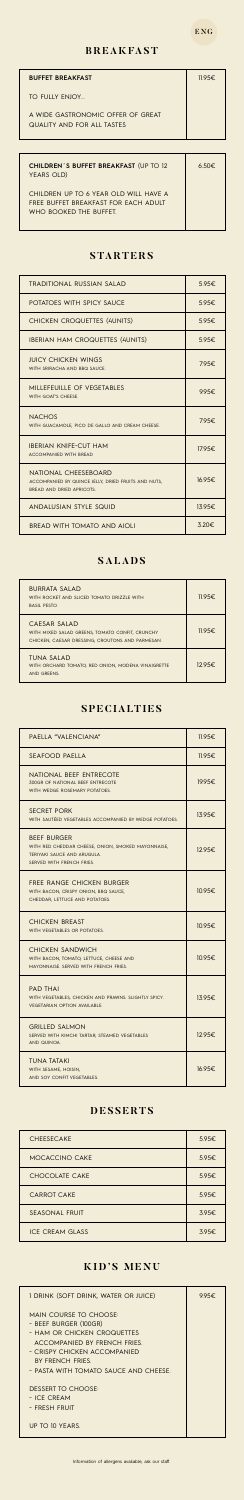#### ENG

#### **BREAKFAST**

| <b>BUFFET BREAKFAST</b>                                                | $11.95 \epsilon$ |
|------------------------------------------------------------------------|------------------|
| TO FULLY FNIOY.                                                        |                  |
| A WIDE GASTRONOMIC OFFER OF GREAT<br><b>QUALITY AND FOR ALL TASTES</b> |                  |

| <b>CHILDREN'S BUFFET BREAKFAST (UP TO 12</b><br>YEARS OLD)                                              | $6.50 \epsilon$ |
|---------------------------------------------------------------------------------------------------------|-----------------|
| CHILDREN UP TO 6 YEAR OLD WILL HAVE A<br>FRFF BUFFFT BRFAKFAST FOR FACH ADUIT<br>WHO BOOKED THE BUFFET. |                 |

#### **STARTERS**

### **SALADS**

#### **SPECIALTIES**

#### **DESSERTS**

Information of allergens available, ask our staff.

### **KID'S MENU**

| <b>TRADITIONAL RUSSIAN SALAD</b>                                                                         | 5.95€   |
|----------------------------------------------------------------------------------------------------------|---------|
| POTATOES WITH SPICY SAUCE                                                                                | 5.95€   |
| <b>CHICKEN CROQUETTES (4UNITS)</b>                                                                       | 5.95€   |
| <b>IBERIAN HAM CROQUETTES (4UNITS)</b>                                                                   | 5.95€   |
| <b>JUICY CHICKEN WINGS</b><br>WITH SRIRACHA AND BBQ SAUCE.                                               | 795€.   |
| MILLEFFUILLE OF VEGETABLES<br>WITH GOAT'S CHEESE.                                                        | 9.95€   |
| <b>NACHOS</b><br>WITH GUACAMOLE, PICO DE GALLO AND CREAM CHEESE.                                         | 795€.   |
| <b>IBERIAN KNIFE-CUT HAM</b><br><b>ACCOMPANIED WITH BREAD</b>                                            | 17.95€. |
| NATIONAL CHEESEBOARD<br>ACCOMPANIED BY QUINCE JELLY, DRIED FRUITS AND NUTS,<br>BREAD AND DRIED APRICOTS. | 16.95€  |
| ANDALUSIAN STYLE SQUID                                                                                   | 13.95€  |
| <b>BREAD WITH TOMATO AND AIOLI</b>                                                                       | 3.20€   |

| WITH ROCKET AND SLICED TOMATO DRIZZLE WITH<br><b>BASIL PESTO.</b>                                                   | 1195€            |
|---------------------------------------------------------------------------------------------------------------------|------------------|
| CAESAR SALAD<br>WITH MIXED SALAD GREENS, TOMATO CONFIT, CRUNCHY<br>CHICKEN, CAESAR DRESSING, CROUTONS AND PARMESAN. | $11.95 \epsilon$ |
| <b>TUNA SALAD</b><br>WITH ORCHARD TOMATO, RED ONION, MODENA VINAIGRETTE<br>AND GREENS.                              | $1295 \epsilon$  |

| PAELLA "VALENCIANA"                                                                                                                  | 11.95€ |
|--------------------------------------------------------------------------------------------------------------------------------------|--------|
| <b>SEAFOOD PAELLA</b>                                                                                                                | 11.95€ |
| NATIONAL BEEF ENTRECOTE<br>300GR OF NATIONAL BEEF ENTRECOTE<br>WITH WEDGE ROSEMARY POTATOES.                                         | 19.95€ |
| <b>SECRET PORK</b><br>WITH SAUTÉED VEGETABLES ACCOMPANIED BY WEDGE POTATOES.                                                         | 13.95€ |
| <b>BEEF BURGER</b><br>WITH RED CHEDDAR CHEESE, ONION, SMOKED MAYONNAISE,<br>TERIYAKI SAUCE AND ARUGULA.<br>SERVED WITH FRENCH FRIES. | 12.95€ |
| FREE RANGE CHICKEN BURGER<br>WITH BACON, CRISPY ONION, BBQ SAUCE,<br>CHEDDAR, LETTUCE AND POTATOES.                                  | 10.95€ |
| CHICKEN BREAST<br>WITH VEGETABLES OR POTATOES.                                                                                       | 10.95€ |
| <b>CHICKEN SANDWICH</b><br>WITH BACON, TOMATO, LETTUCE, CHEESE AND<br>MAYONNAISE, SERVED WITH FRENCH FRIES.                          | 10.95€ |
| <b>PAD THAI</b><br>WITH VEGETABLES, CHICKEN AND PRAWNS. SLIGHTLY SPICY.<br><b>VEGETARIAN OPTION AVAILABLE.</b>                       | 13.95€ |
| <b>GRILLED SALMON</b><br>SERVED WITH KIMCHI TARTAR, STEAMED VEGETABLES<br>AND QUINOA.                                                | 12.95€ |
| <b>TUNA TATAKI</b><br>WITH SESAME, HOISIN,<br>AND SOY CONFIT VEGETABLES.                                                             | 16.95€ |

| <b>CHEESECAKE</b>      | 5.95€ |
|------------------------|-------|
| <b>MOCACCINO CAKE</b>  | 5.95€ |
| <b>CHOCOLATE CAKE</b>  | 5.95€ |
| <b>CARROT CAKE</b>     | 5.95€ |
| <b>SEASONAL FRUIT</b>  | 3.95€ |
| <b>ICE CREAM GLASS</b> | 3.95€ |

| I DRINK (SOFT DRINK, WATER OR JUICE)                                                                                                                                                                               | 9.95€. |
|--------------------------------------------------------------------------------------------------------------------------------------------------------------------------------------------------------------------|--------|
| <b>MAIN COURSE TO CHOOSE:</b><br>- BEEF BURGER (100GR)<br>- HAM OR CHICKEN CROQUETTES<br>ACCOMPANIED BY FRENCH FRIES.<br>- CRISPY CHICKEN ACCOMPANIED<br>BY FRENCH FRIES.<br>- PASTA WITH TOMATO SAUCE AND CHEESE. |        |
| DESSERT TO CHOOSE:<br>- ICF CRFAM<br>- FRESH FRUIT                                                                                                                                                                 |        |
| UP TO 10 YEARS.                                                                                                                                                                                                    |        |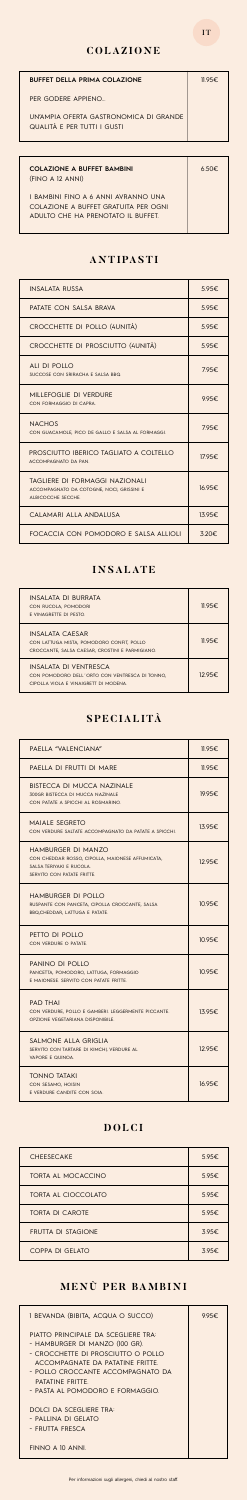$\overline{\phantom{a}}$ 

| <b>BUFFET DELLA PRIMA COLAZIONE</b>                                   | 11.95€. |
|-----------------------------------------------------------------------|---------|
| PER GODERE APPIENO                                                    |         |
| UN'AMPIA OFFRTA GASTRONOMICA DI GRANDE<br>QUALITÀ E PER TUTTI I GUSTI |         |

| <b>COLAZIONE A BUFFET BAMBINI</b><br>(FINO A 12 ANNI)                                                             | $6.50 \epsilon$ |
|-------------------------------------------------------------------------------------------------------------------|-----------------|
| I BAMBINI FINO A 6 ANNI AVRANNO UNA<br>COLAZIONE A BUFFFT GRATUITA PER OGNI<br>ADULTO CHE HA PRENOTATO IL BUFFET. |                 |

### **ANTIPASTI**

### **INSALATE**

## **SPECIALITÀ**

### **DOLCI**

## **MENÙ PER BAMBINI**

| <b>INSAI ATA RUSSA</b>                                                                            | 5.95€  |
|---------------------------------------------------------------------------------------------------|--------|
| PATATE CON SALSA BRAVA                                                                            | 5.95€  |
| CROCCHETTE DI POLLO (4UNITÀ)                                                                      | 5.95€  |
| CROCCHETTE DI PROSCIUTTO (4UNITÀ)                                                                 | 5.95€  |
| ALL DEPOLLO<br>SUCCOSE CON SRIRACHA E SALSA BBQ.                                                  | 7.95€  |
| MILLEFOGLIE DI VERDURE<br>CON FORMAGGIO DI CAPRA.                                                 | 9.95€  |
| <b>NACHOS</b><br>CON GUACAMOLE, PICO DE GALLO E SALSA AL FORMAGGI.                                | 795€.  |
| PROSCIUTTO IBERICO TAGLIATO A COLTELLO<br>ACCOMPAGNATO DA PAN.                                    | 17.95€ |
| TAGLIERE DI FORMAGGI NAZIONALI<br>ACCOMPAGNATO DA COTOGNE, NOCI, GRISSINI E<br>ALBICOCCHE SECCHE. | 16.95€ |
| CALAMARI ALLA ANDALUSA                                                                            | 13.95E |
| FOCACCIA CON POMODORO E SALSA ALLIOLI                                                             | 3.20€  |

| INSAI ATA DI BURRATA<br>CON RUCOLA, POMODORI<br>E VINAGRETTE DI PESTO.                                                 | 11.95€. |
|------------------------------------------------------------------------------------------------------------------------|---------|
| <b>INSALATA CAESAR</b><br>CON LATTUGA MISTA, POMODORO CONFIT, POLLO<br>CROCCANTE, SALSA CAESAR, CROSTINI E PARMIGIANO. | 11.95€  |
| INSAI ATA DI VENTRESCA<br>CON POMODORO DELL'ORTO CON VENTRESCA DI TONNO,<br>CIPOLLA VIOLA E VINAIGRETT DI MODENA       | 12.95€  |

| PAELLA "VALENCIANA"                                                                                                                     | 11.95€ |
|-----------------------------------------------------------------------------------------------------------------------------------------|--------|
| PAELLA DI FRUTTI DI MARE                                                                                                                | 11.95€ |
| <b>BISTECCA DI MUCCA NAZINALE</b><br>300GR BISTECCA DI MUCCA NAZINALE<br>CON PATATE A SPICCHI AL ROSMARINO.                             | 19.95€ |
| <b>MAIALE SEGRETO</b><br>CON VERDURE SALTATE ACCOMPAGNATO DA PATATE A SPICCHI.                                                          | 13.95€ |
| <b>HAMBURGER DI MANZO</b><br>CON CHEDDAR ROSSO, CIPOLLA, MAIONESE AFFUMICATA,<br>SALSA TERIYAKI E RUCOLA.<br>SERVITO CON PATATE FRITTE. | 12.95€ |
| <b>HAMBURGER DI POLLO</b><br>RUSPANTE CON PANCETA, CIPOLLA CROCCANTE, SALSA<br>BBQ, CHEDDAR, LATTUGA E PATATE.                          | 10.95€ |
| PETTO DI POLLO<br>CON VERDURE O PATATE.                                                                                                 | 10.95€ |
| PANINO DI POLLO<br>PANCETTA, POMODORO, LATTUGA, FORMAGGIO<br>E MAIONESE. SERVITO CON PATATE FRITTE.                                     | 10.95€ |
| <b>PAD THAI</b><br>CON VERDURE, POLLO E GAMBERI. LEGGERMENTE PICCANTE.<br>OPZIONE VEGETARIANA DISPONIBILE.                              | 13.95€ |
| SALMONE ALLA GRIGLIA<br>SERVITO CON TARTARE DI KIMCHI, VERDURE AL<br>VAPORE E QUINOA.                                                   | 12.95€ |
| <b>TONNO TATAKI</b><br>CON SESAMO, HOISIN<br>E VERDURE CANDITE CON SOIA.                                                                | 16.95€ |

| <b>CHEESECAKE</b>         | 5.95€ |
|---------------------------|-------|
| TORTA AL MOCACCINO        | 5.95€ |
| TORTA AL CIOCCOLATO       | 5.95€ |
| <b>TORTA DI CAROTE</b>    | 5.95€ |
| <b>FRUTTA DI STAGIONE</b> | 3.95E |
| COPPA DI GELATO           | 3.95€ |

| I BEVANDA (BIBITA, ACQUA O SUCCO)                                                                                                                                                                                                           | 995€ |
|---------------------------------------------------------------------------------------------------------------------------------------------------------------------------------------------------------------------------------------------|------|
| PIATTO PRINCIPALE DA SCEGLIERE TRA:<br>- HAMBURGER DI MANZO (100 GR).<br>- CROCCHETTE DI PROSCIUTTO O POLLO<br>ACCOMPAGNATE DA PATATINE FRITTE<br>- POLLO CROCCANTE ACCOMPAGNATO DA<br>PATATINE FRITTE.<br>- PASTA AL POMODORO E FORMAGGIO. |      |
| DOLCL DA SCEGLIERE TRA:<br>- PALLINA DI GFI ATO<br>- FRUTTA FRESCA<br>FINNO A 10 ANNI.                                                                                                                                                      |      |